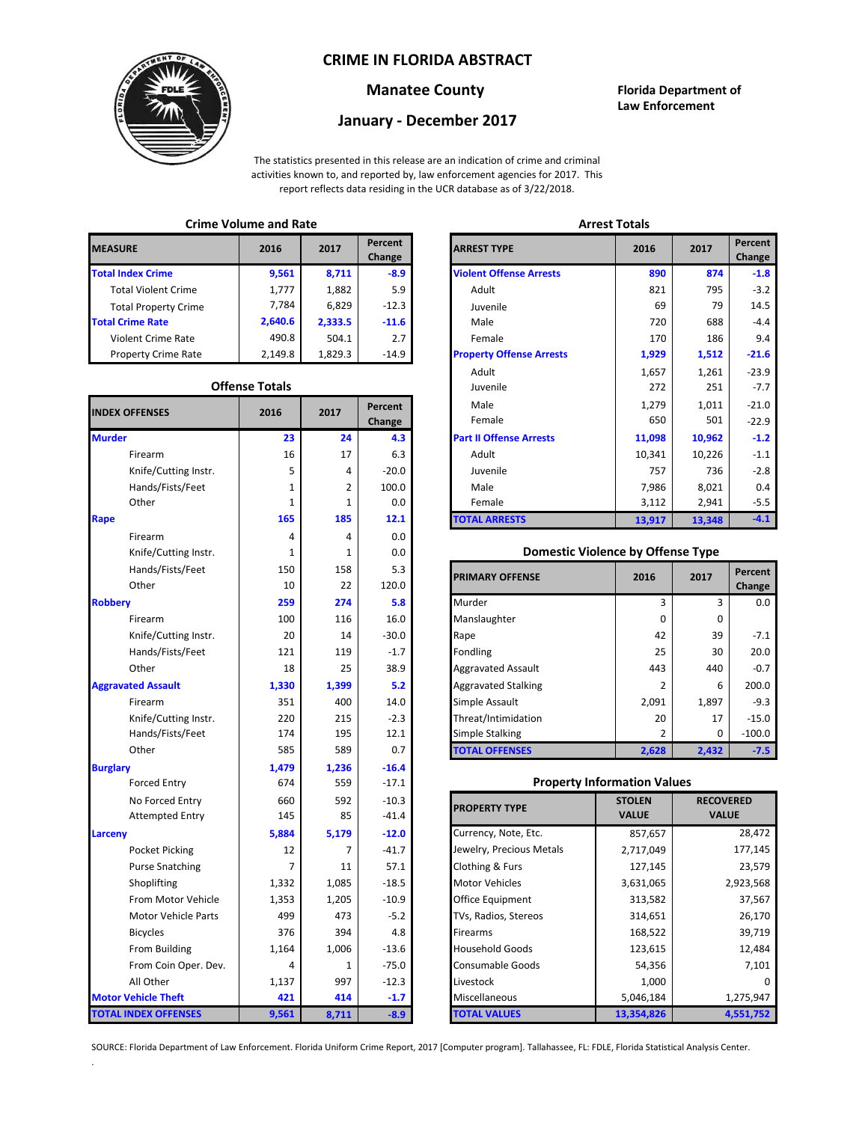#### **CRIME IN FLORIDA ABSTRACT**



### **Manatee County Florida Department of**

# **Law Enforcement**

## **January - December 2017**

The statistics presented in this release are an indication of crime and criminal activities known to, and reported by, law enforcement agencies for 2017. This report reflects data residing in the UCR database as of 3/22/2018.

#### **Crime Volume and Rate Arrest Totals**

| <b>MEASURE</b>              | 2016    | 2017    | Percent<br>Change | <b>ARREST TYPE</b>             |
|-----------------------------|---------|---------|-------------------|--------------------------------|
| <b>Total Index Crime</b>    | 9,561   | 8,711   | $-8.9$            | <b>Violent Offense Arrests</b> |
| <b>Total Violent Crime</b>  | 1.777   | 1,882   | 5.9               | Adult                          |
| <b>Total Property Crime</b> | 7.784   | 6,829   | $-12.3$           | Juvenile                       |
| <b>Total Crime Rate</b>     | 2,640.6 | 2,333.5 | $-11.6$           | Male                           |
| <b>Violent Crime Rate</b>   | 490.8   | 504.1   | 2.7               | Female                         |
| <b>Property Crime Rate</b>  | 2.149.8 | 1.829.3 | $-14.9$           | <b>Property Offense Arrest</b> |

#### **Offense Totals**

| <b>INDEX OFFENSES</b>       | 2016  | 2017  | Percent<br>Change | Male<br>Female                           | 1,279<br>650   | 1,011<br>501     | $-21.0$<br>$-22.9$ |
|-----------------------------|-------|-------|-------------------|------------------------------------------|----------------|------------------|--------------------|
| <b>Murder</b>               | 23    | 24    | 4.3               | <b>Part II Offense Arrests</b>           | 11,098         | 10,962           | $-1.2$             |
| Firearm                     | 16    | 17    | 6.3               | Adult                                    | 10,341         | 10,226           | $-1.1$             |
| Knife/Cutting Instr.        | 5     | 4     | $-20.0$           | Juvenile                                 | 757            | 736              | $-2.8$             |
| Hands/Fists/Feet            | 1     | 2     | 100.0             | Male                                     | 7,986          | 8,021            | 0.4                |
| Other                       | 1     | 1     | 0.0               | Female                                   | 3,112          | 2,941            | $-5.5$             |
| Rape                        | 165   | 185   | 12.1              | <b>TOTAL ARRESTS</b>                     | 13,917         | 13,348           | $-4.1$             |
| Firearm                     | 4     | 4     | 0.0               |                                          |                |                  |                    |
| Knife/Cutting Instr.        | 1     | 1     | 0.0               | <b>Domestic Violence by Offense Type</b> |                |                  |                    |
| Hands/Fists/Feet            | 150   | 158   | 5.3               |                                          | 2016           | 2017             | Percent            |
| Other                       | 10    | 22    | 120.0             | <b>PRIMARY OFFENSE</b>                   |                |                  | Change             |
| <b>Robbery</b>              | 259   | 274   | 5.8               | Murder                                   | 3              | 3                | 0.0                |
| Firearm                     | 100   | 116   | 16.0              | Manslaughter                             | 0              | $\mathbf{0}$     |                    |
| Knife/Cutting Instr.        | 20    | 14    | $-30.0$           | Rape                                     | 42             | 39               | $-7.1$             |
| Hands/Fists/Feet            | 121   | 119   | $-1.7$            | Fondling                                 | 25             | 30               | 20.0               |
| Other                       | 18    | 25    | 38.9              | <b>Aggravated Assault</b>                | 443            | 440              | $-0.7$             |
| <b>Aggravated Assault</b>   | 1,330 | 1,399 | 5.2               | <b>Aggravated Stalking</b>               | 2              | 6                | 200.0              |
| Firearm                     | 351   | 400   | 14.0              | Simple Assault                           | 2,091          | 1,897            | $-9.3$             |
| Knife/Cutting Instr.        | 220   | 215   | $-2.3$            | Threat/Intimidation                      | 20             | 17               | $-15.0$            |
| Hands/Fists/Feet            | 174   | 195   | 12.1              | <b>Simple Stalking</b>                   | $\overline{2}$ | $\mathbf 0$      | $-100.0$           |
| Other                       | 585   | 589   | 0.7               | <b>TOTAL OFFENSES</b>                    | 2,628          | 2,432            | $-7.5$             |
| <b>Burglary</b>             | 1,479 | 1,236 | $-16.4$           |                                          |                |                  |                    |
| <b>Forced Entry</b>         | 674   | 559   | $-17.1$           | <b>Property Information Values</b>       |                |                  |                    |
| No Forced Entry             | 660   | 592   | $-10.3$           | <b>PROPERTY TYPE</b>                     | <b>STOLEN</b>  | <b>RECOVERED</b> |                    |
| <b>Attempted Entry</b>      | 145   | 85    | $-41.4$           |                                          | <b>VALUE</b>   | <b>VALUE</b>     |                    |
| Larceny                     | 5,884 | 5,179 | $-12.0$           | Currency, Note, Etc.                     | 857,657        |                  | 28,472             |
| Pocket Picking              | 12    | 7     | $-41.7$           | Jewelry, Precious Metals                 | 2,717,049      |                  | 177,145            |
| <b>Purse Snatching</b>      | 7     | 11    | 57.1              | <b>Clothing &amp; Furs</b>               | 127,145        |                  | 23,579             |
| Shoplifting                 | 1,332 | 1,085 | $-18.5$           | <b>Motor Vehicles</b>                    | 3,631,065      |                  | 2,923,568          |
| From Motor Vehicle          | 1,353 | 1,205 | $-10.9$           | Office Equipment                         | 313,582        |                  | 37,567             |
| Motor Vehicle Parts         | 499   | 473   | $-5.2$            | TVs, Radios, Stereos                     | 314,651        |                  | 26,170             |
| <b>Bicycles</b>             | 376   | 394   | 4.8               | Firearms                                 | 168,522        |                  | 39,719             |
| From Building               | 1,164 | 1,006 | $-13.6$           | <b>Household Goods</b>                   | 123,615        | 12,484           |                    |
| From Coin Oper. Dev.        | 4     | 1     | $-75.0$           | Consumable Goods                         | 54,356         |                  | 7,101              |
| All Other                   | 1,137 | 997   | $-12.3$           | Livestock                                | 1,000          |                  |                    |
| <b>Motor Vehicle Theft</b>  | 421   | 414   | $-1.7$            | Miscellaneous                            | 5,046,184      |                  | 1,275,947          |
| <b>TOTAL INDEX OFFENSES</b> | 9,561 | 8,711 | $-8.9$            | <b>TOTAL VALUES</b>                      | 13,354,826     |                  | 4,551,752          |

.

|                      |                       |         |                   |                                 | <b>AUCHLICH</b> |        |                   |  |
|----------------------|-----------------------|---------|-------------------|---------------------------------|-----------------|--------|-------------------|--|
| RΕ                   | 2016                  | 2017    | Percent<br>Change | <b>ARREST TYPE</b>              | 2016            | 2017   | Percent<br>Change |  |
| dex Crime            | 9,561                 | 8,711   | $-8.9$            | <b>Violent Offense Arrests</b>  | 890             | 874    |                   |  |
| Il Violent Crime     | 1,777                 | 1,882   | 5.9               | Adult                           | 821             | 795    |                   |  |
| Il Property Crime    | 7,784                 | 6,829   | $-12.3$           | Juvenile                        | 69              | 79     |                   |  |
| me Rate              | 2,640.6               | 2,333.5 | $-11.6$           | Male                            | 720             | 688    |                   |  |
| ent Crime Rate       | 490.8                 | 504.1   | 2.7               | Female                          | 170             | 186    |                   |  |
| erty Crime Rate      | 2,149.8               | 1,829.3 | $-14.9$           | <b>Property Offense Arrests</b> | 1,929           | 1,512  | $-21.6$           |  |
|                      |                       |         |                   | Adult                           | 1,657           | 1,261  | $-23.9$           |  |
|                      | <b>Offense Totals</b> |         |                   | Juvenile                        | 272             | 251    |                   |  |
| <b>FFENSES</b>       | 2016                  | 2017    | Percent           | Male                            | 1,279           | 1,011  | $-21.0$           |  |
|                      |                       |         | Change            | Female                          | 650             | 501    | $-22.9$           |  |
|                      | 23                    | 24      | 4.3               | <b>Part II Offense Arrests</b>  | 11,098          | 10,962 |                   |  |
| Firearm              | 16                    | 17      | 6.3               | Adult                           | 10,341          | 10,226 |                   |  |
| Knife/Cutting Instr. | 5                     | 4       | $-20.0$           | Juvenile                        | 757             | 736    |                   |  |
| Hands/Fists/Feet     | 1                     | 2       | 100.0             | Male                            | 7,986           | 8,021  |                   |  |
| Other                | $\mathbf{1}$          |         | 0.0               | Female                          | 3,112           | 2,941  |                   |  |
|                      | 165                   | 185     | 12.1              | <b>TOTAL ARRESTS</b>            | 13,917          | 13,348 |                   |  |
|                      |                       |         |                   |                                 |                 |        |                   |  |

#### **Domestic Violence by Offense Type**

| Hands/Fists/Feet<br>Other | 150<br>10 | 158<br>22 | 5.3<br>120.0 | <b>PRIMARY OFFENSE</b>     | 2016     | 2017  | Percent<br>Change |
|---------------------------|-----------|-----------|--------------|----------------------------|----------|-------|-------------------|
|                           | 259       | 274       | 5.8          | Murder                     |          | 3     | 0.0               |
| Firearm                   | 100       | 116       | 16.0         | Manslaughter               | $\Omega$ | 0     |                   |
| Knife/Cutting Instr.      | 20        | 14        | $-30.0$      | Rape                       | 42       | 39    | $-7.1$            |
| Hands/Fists/Feet          | 121       | 119       | $-1.7$       | Fondling                   | 25       | 30    | 20.0              |
| Other                     | 18        | 25        | 38.9         | <b>Aggravated Assault</b>  | 443      | 440   | $-0.7$            |
| ted Assault               | 1,330     | 1,399     | 5.2          | <b>Aggravated Stalking</b> |          | 6     | 200.0             |
| Firearm                   | 351       | 400       | 14.0         | Simple Assault             | 2,091    | 1,897 | $-9.3$            |
| Knife/Cutting Instr.      | 220       | 215       | $-2.3$       | Threat/Intimidation        | 20       | 17    | $-15.0$           |
| Hands/Fists/Feet          | 174       | 195       | 12.1         | <b>Simple Stalking</b>     |          | 0     | $-100.0$          |
| Other                     | 585       | 589       | 0.7          | <b>TOTAL OFFENSES</b>      | 2,628    | 2,432 | $-7.5$            |

#### **Property Information Values**

| 660   | 592   | $-10.3$ | <b>PROPERTY TYPE</b>     | <b>STOLEN</b> | <b>RECOVERED</b> |
|-------|-------|---------|--------------------------|---------------|------------------|
| 145   | 85    | $-41.4$ |                          | <b>VALUE</b>  | <b>VALUE</b>     |
| 5,884 | 5,179 | $-12.0$ | Currency, Note, Etc.     | 857,657       | 28,472           |
| 12    |       | $-41.7$ | Jewelry, Precious Metals | 2,717,049     | 177,145          |
| 7     | 11    | 57.1    | Clothing & Furs          | 127,145       | 23,579           |
| 1,332 | 1,085 | $-18.5$ | <b>Motor Vehicles</b>    | 3,631,065     | 2,923,568        |
| 1,353 | 1,205 | $-10.9$ | <b>Office Equipment</b>  | 313,582       | 37,567           |
| 499   | 473   | $-5.2$  | TVs, Radios, Stereos     | 314,651       | 26,170           |
| 376   | 394   | 4.8     | <b>Firearms</b>          | 168,522       | 39,719           |
| 1,164 | 1,006 | $-13.6$ | <b>Household Goods</b>   | 123,615       | 12,484           |
| 4     |       | $-75.0$ | <b>Consumable Goods</b>  | 54,356        | 7,101            |
| 1,137 | 997   | $-12.3$ | Livestock                | 1,000         |                  |
| 421   | 414   | $-1.7$  | Miscellaneous            | 5,046,184     | 1,275,947        |
| 9,561 | 8,711 | $-8.9$  | <b>TOTAL VALUES</b>      | 13,354,826    | 4,551,752        |

SOURCE: Florida Department of Law Enforcement. Florida Uniform Crime Report, 2017 [Computer program]. Tallahassee, FL: FDLE, Florida Statistical Analysis Center.